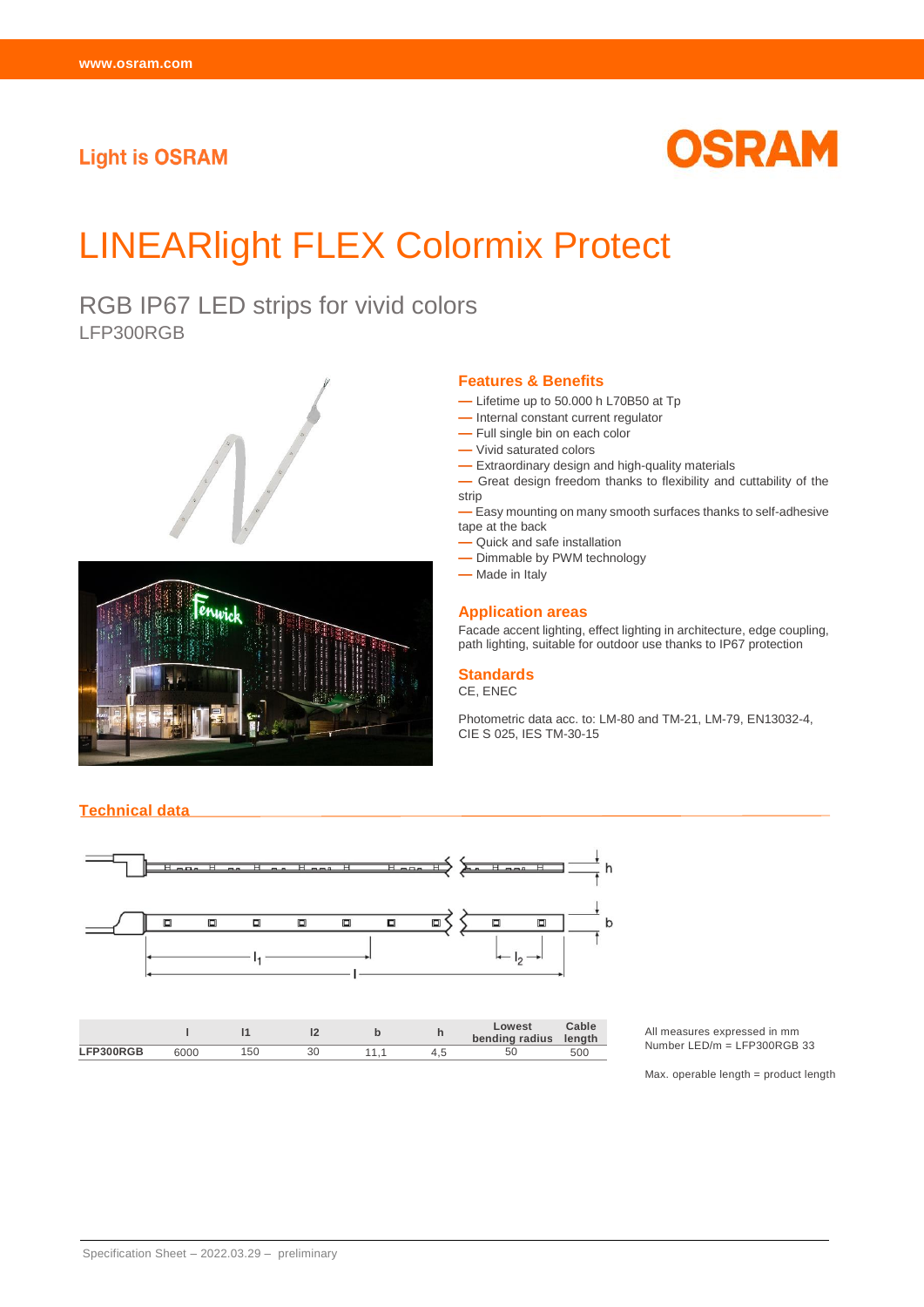# **Light is OSRAM**



# LINEARlight FLEX Colormix Protect

RGB IP67 LED strips for vivid colors LFP300RGB





**Technical data**

#### **Features & Benefits**

- **—** Lifetime up to 50.000 h L70B50 at Tp
- **—** Internal constant current regulator
- **—** Full single bin on each color
- **—** Vivid saturated colors
- **—** Extraordinary design and high-quality materials

**—** Great design freedom thanks to flexibility and cuttability of the strip

**—** Easy mounting on many smooth surfaces thanks to self-adhesive tape at the back

- **—** Quick and safe installation
- **—** Dimmable by PWM technology
- **—** Made in Italy

#### **Application areas**

Facade accent lighting, effect lighting in architecture, edge coupling, path lighting, suitable for outdoor use thanks to IP67 protection

#### **Standards**

CE, ENEC

Photometric data acc. to: LM-80 and TM-21, LM-79, EN13032-4, CIE S 025, IES TM-30-15



All measures expressed in mm Number LED/m = LFP300RGB 33

Max. operable length = product length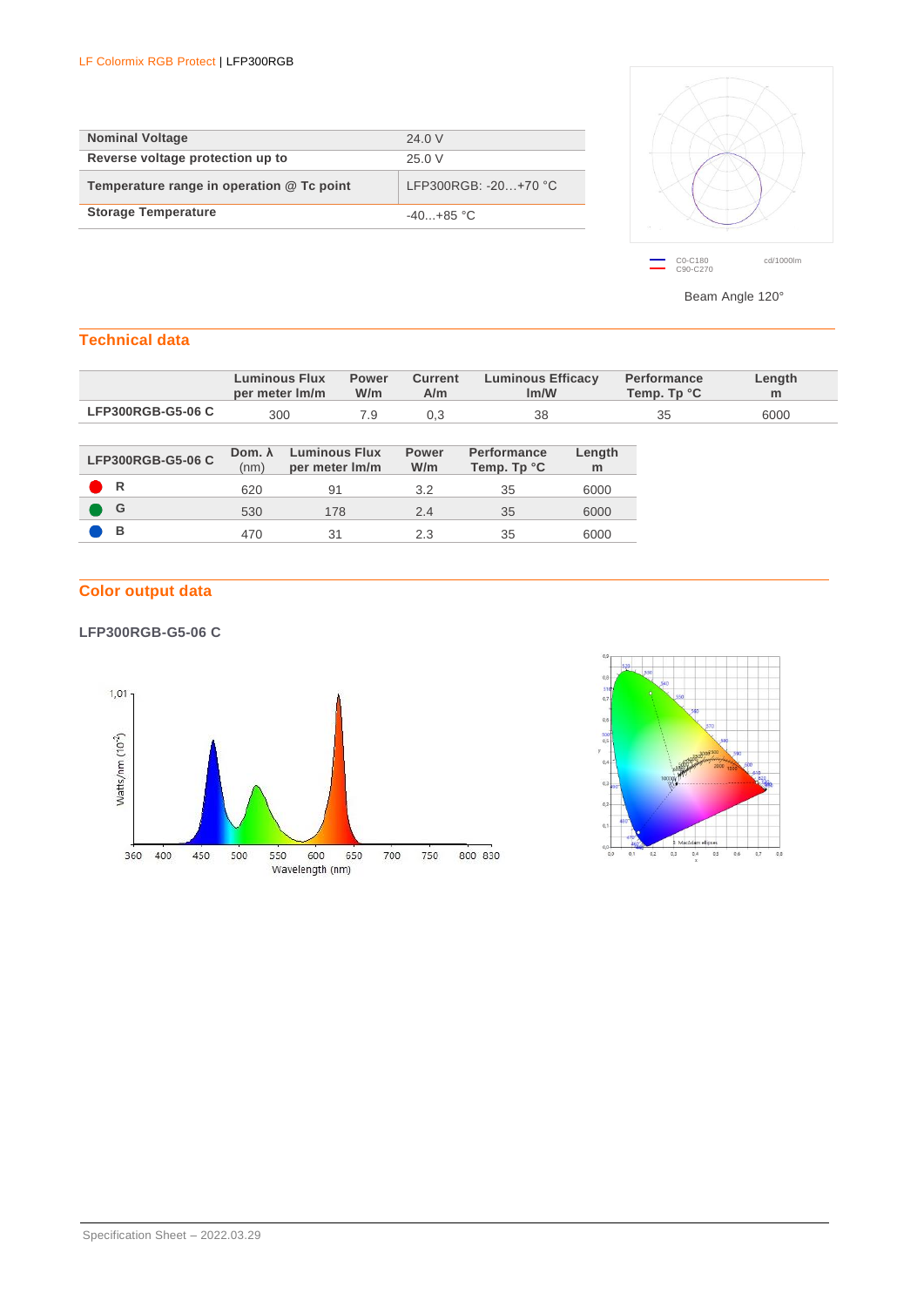| <b>Nominal Voltage</b>                    | 24.0 V                 |
|-------------------------------------------|------------------------|
| Reverse voltage protection up to          | 25.0 V                 |
| Temperature range in operation @ Tc point | LFP300RGB: $-20+70$ °C |
| <b>Storage Temperature</b>                | $-40. +85$ °C          |
|                                           |                        |



Beam Angle 120°

## **Technical data**

|                   |                        | <b>Luminous Flux</b><br>per meter Im/m | <b>Power</b><br>W/m | <b>Current</b><br>A/m | <b>Luminous Efficacy</b><br>Im/W  |             | <b>Performance</b><br>Temp. Tp °C | Length<br>m |
|-------------------|------------------------|----------------------------------------|---------------------|-----------------------|-----------------------------------|-------------|-----------------------------------|-------------|
| LFP300RGB-G5-06 C | 300                    |                                        | 7.9                 | 0,3                   | 38                                |             | 35                                | 6000        |
|                   |                        |                                        |                     |                       |                                   |             |                                   |             |
| LFP300RGB-G5-06 C | Dom. $\lambda$<br>(nm) | <b>Luminous Flux</b><br>per meter Im/m |                     | <b>Power</b><br>W/m   | <b>Performance</b><br>Temp. Tp °C | Length<br>m |                                   |             |
| R                 | 620                    | 91                                     |                     | 3.2                   | 35                                | 6000        |                                   |             |
| G                 | 530                    | 178                                    |                     | 2.4                   | 35                                | 6000        |                                   |             |
| B                 | 470                    | 31                                     |                     | 2.3                   | 35                                | 6000        |                                   |             |
|                   |                        |                                        |                     |                       |                                   |             |                                   |             |

# **Color output data**

### **LFP300RGB-G5-06 C**



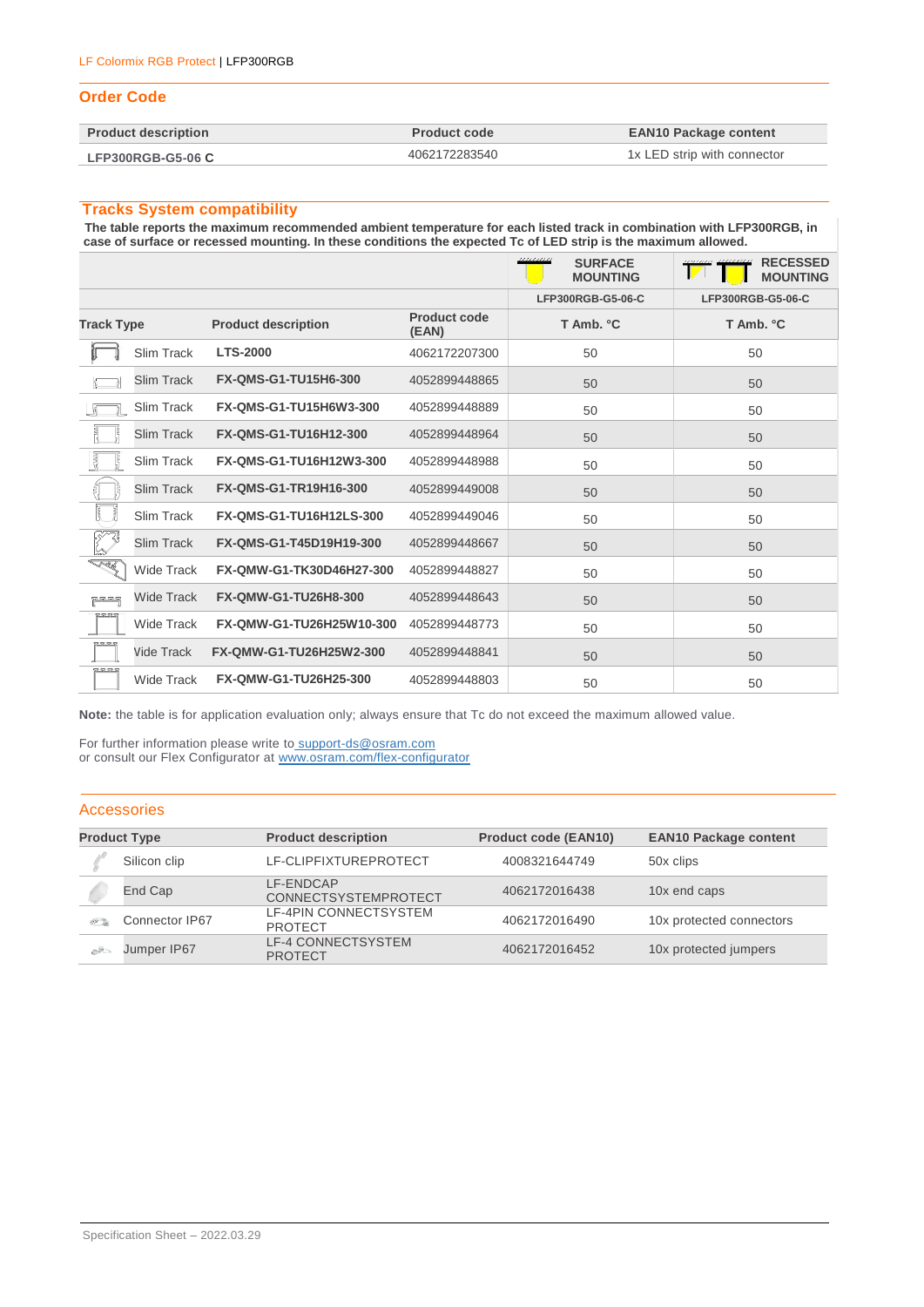#### LF Colormix RGB Protect | LFP300RGB

#### **Order Code**

| <b>Product description</b> | <b>Product code</b> | <b>EAN10 Package content</b> |
|----------------------------|---------------------|------------------------------|
| <b>LFP300RGB-G5-06 C</b>   | 4062172283540       | 1x LED strip with connector  |

#### **Tracks System compatibility**

**The table reports the maximum recommended ambient temperature for each listed track in combination with LFP300RGB, in case of surface or recessed mounting. In these conditions the expected Tc of LED strip is the maximum allowed.**

|                   |                   |                             |                              | ,,,,,,,,,<br><b>SURFACE</b><br><b>MOUNTING</b> | <b>RECESSED</b><br><b>MOUNTING</b> |
|-------------------|-------------------|-----------------------------|------------------------------|------------------------------------------------|------------------------------------|
|                   |                   |                             |                              | LFP300RGB-G5-06-C                              | LFP300RGB-G5-06-C                  |
| <b>Track Type</b> |                   | <b>Product description</b>  | <b>Product code</b><br>(EAN) | T Amb. °C                                      | T Amb. °C                          |
|                   | Slim Track        | <b>LTS-2000</b>             | 4062172207300                | 50                                             | 50                                 |
|                   | Slim Track        | <b>FX-QMS-G1-TU15H6-300</b> | 4052899448865                | 50                                             | 50                                 |
|                   | Slim Track        | FX-QMS-G1-TU15H6W3-300      | 4052899448889                | 50                                             | 50                                 |
|                   | <b>Slim Track</b> | FX-QMS-G1-TU16H12-300       | 4052899448964                | 50                                             | 50                                 |
| ł<br>Ş            | Slim Track        | FX-QMS-G1-TU16H12W3-300     | 4052899448988                | 50                                             | 50                                 |
| ę<br>V            | Slim Track        | FX-QMS-G1-TR19H16-300       | 4052899449008                | 50                                             | 50                                 |
| Ţ                 | Slim Track        | FX-QMS-G1-TU16H12LS-300     | 4052899449046                | 50                                             | 50                                 |
| $\mathbb{Z}^2$    | Slim Track        | FX-QMS-G1-T45D19H19-300     | 4052899448667                | 50                                             | 50                                 |
| <u>Tak</u>        | <b>Wide Track</b> | FX-QMW-G1-TK30D46H27-300    | 4052899448827                | 50                                             | 50                                 |
| ਜੂਦ ਬਾਦ ਬ੍ਰ       | <b>Wide Track</b> | FX-QMW-G1-TU26H8-300        | 4052899448643                | 50                                             | 50                                 |
| 52.52.52          | <b>Wide Track</b> | FX-QMW-G1-TU26H25W10-300    | 4052899448773                | 50                                             | 50                                 |
| peren             | Vide Track        | FX-QMW-G1-TU26H25W2-300     | 4052899448841                | 50                                             | 50                                 |
| <b>RRRS</b>       | <b>Wide Track</b> | FX-QMW-G1-TU26H25-300       | 4052899448803                | 50                                             | 50                                 |

**Note:** the table is for application evaluation only; always ensure that Tc do not exceed the maximum allowed value.

For further information please write to [support-ds@osram.com](mailto:support-ds@osram.com) or consult our Flex Configurator at www.osram.com/flex-configurator

#### Accessories

| <b>Product Type</b> |                | <b>Product description</b>                  | <b>Product code (EAN10)</b> | <b>EAN10 Package content</b> |  |
|---------------------|----------------|---------------------------------------------|-----------------------------|------------------------------|--|
|                     | Silicon clip   | LF-CLIPFIXTUREPROTECT                       | 4008321644749               | 50x clips                    |  |
|                     | End Cap        | LF-ENDCAP<br><b>CONNECTSYSTEMPROTECT</b>    | 4062172016438               | 10x end caps                 |  |
| <b>SMITH</b>        | Connector IP67 | LF-4PIN CONNECTSYSTEM<br><b>PROTECT</b>     | 4062172016490               | 10x protected connectors     |  |
| $-$                 | Jumper IP67    | <b>LF-4 CONNECTSYSTEM</b><br><b>PROTECT</b> | 4062172016452               | 10x protected jumpers        |  |